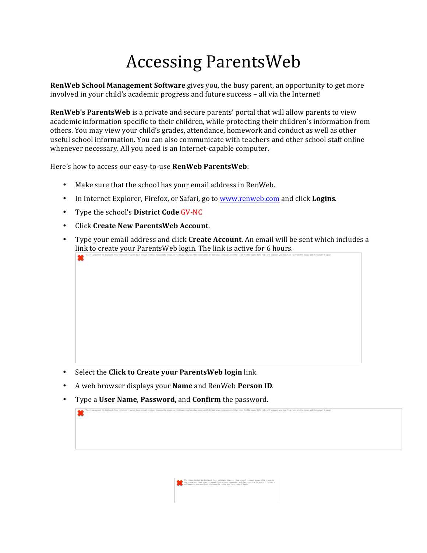## **Accessing ParentsWeb**

**RenWeb School Management Software** gives you, the busy parent, an opportunity to get more involved in your child's academic progress and future success – all via the Internet!

**RenWeb's ParentsWeb** is a private and secure parents' portal that will allow parents to view academic information specific to their children, while protecting their children's information from others. You may view your child's grades, attendance, homework and conduct as well as other useful school information. You can also communicate with teachers and other school staff online whenever necessary. All you need is an Internet-capable computer.

Here's how to access our easy-to-use **RenWeb ParentsWeb**:

- Make sure that the school has your email address in RenWeb.
- In Internet Explorer, Firefox, or Safari, go to www.renweb.com and click **Logins**.
- Type the school's **District Code GV-NC**

笨

堂

- Click **Create New ParentsWeb Account**.
- Type your email address and click **Create Account**. An email will be sent which includes a link to create your ParentsWeb login. The link is active for 6 hours.

The image cannot be displayed. Your computer may not have enough memory to open the image, or the image may have been corrupted. Restart your computer, and then open the file again. If the red x still appears, you may have

- Select the **Click to Create your ParentsWeb login** link.
- A web browser displays your **Name** and RenWeb **Person ID**.
- **Type a User Name, Password, and Confirm** the password.

The Image cannot be displayed. Your computer may not have enough memory to open the Image, or<br>the Image may have been corrupted. Restart your computer, and then open the file again. If the red x<br>still appears, you may have

The image cannot be displayed. Your computer may not have enough memory to open the image, or the image may have been corrupted. Restart your computer, and then open the file again. If the red x still appears, you may have